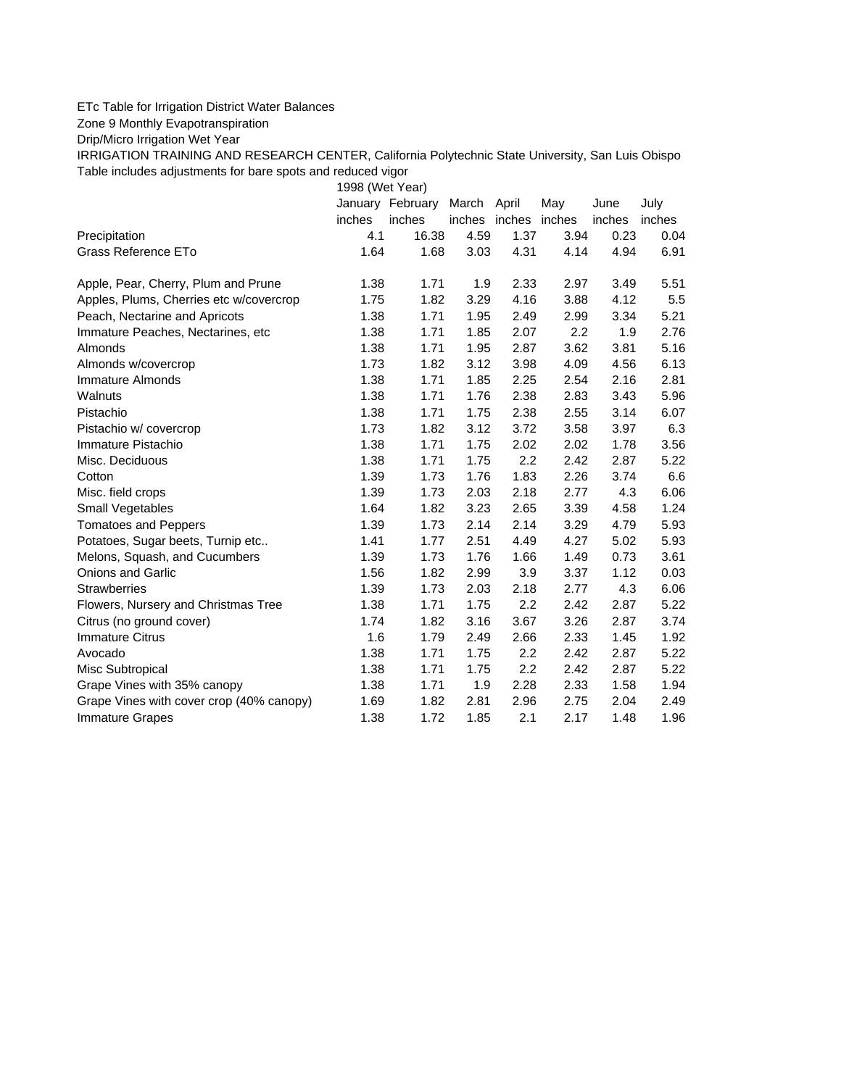## ETc Table for Irrigation District Water Balances

Zone 9 Monthly Evapotranspiration

Drip/Micro Irrigation Wet Year

IRRIGATION TRAINING AND RESEARCH CENTER, California Polytechnic State University, San Luis Obispo Table includes adjustments for bare spots and reduced vigor

1998 (Wet Year)

|                                          |        | January February | March April |                      | May  | June   | July   |
|------------------------------------------|--------|------------------|-------------|----------------------|------|--------|--------|
|                                          | inches | inches           |             | inches inches inches |      | inches | inches |
| Precipitation                            | 4.1    | 16.38            | 4.59        | 1.37                 | 3.94 | 0.23   | 0.04   |
| Grass Reference ETo                      | 1.64   | 1.68             | 3.03        | 4.31                 | 4.14 | 4.94   | 6.91   |
| Apple, Pear, Cherry, Plum and Prune      | 1.38   | 1.71             | 1.9         | 2.33                 | 2.97 | 3.49   | 5.51   |
| Apples, Plums, Cherries etc w/covercrop  | 1.75   | 1.82             | 3.29        | 4.16                 | 3.88 | 4.12   | 5.5    |
| Peach, Nectarine and Apricots            | 1.38   | 1.71             | 1.95        | 2.49                 | 2.99 | 3.34   | 5.21   |
| Immature Peaches, Nectarines, etc        | 1.38   | 1.71             | 1.85        | 2.07                 | 2.2  | 1.9    | 2.76   |
| Almonds                                  | 1.38   | 1.71             | 1.95        | 2.87                 | 3.62 | 3.81   | 5.16   |
| Almonds w/covercrop                      | 1.73   | 1.82             | 3.12        | 3.98                 | 4.09 | 4.56   | 6.13   |
| Immature Almonds                         | 1.38   | 1.71             | 1.85        | 2.25                 | 2.54 | 2.16   | 2.81   |
| Walnuts                                  | 1.38   | 1.71             | 1.76        | 2.38                 | 2.83 | 3.43   | 5.96   |
| Pistachio                                | 1.38   | 1.71             | 1.75        | 2.38                 | 2.55 | 3.14   | 6.07   |
| Pistachio w/ covercrop                   | 1.73   | 1.82             | 3.12        | 3.72                 | 3.58 | 3.97   | 6.3    |
| Immature Pistachio                       | 1.38   | 1.71             | 1.75        | 2.02                 | 2.02 | 1.78   | 3.56   |
| Misc. Deciduous                          | 1.38   | 1.71             | 1.75        | 2.2                  | 2.42 | 2.87   | 5.22   |
| Cotton                                   | 1.39   | 1.73             | 1.76        | 1.83                 | 2.26 | 3.74   | 6.6    |
| Misc. field crops                        | 1.39   | 1.73             | 2.03        | 2.18                 | 2.77 | 4.3    | 6.06   |
| <b>Small Vegetables</b>                  | 1.64   | 1.82             | 3.23        | 2.65                 | 3.39 | 4.58   | 1.24   |
| <b>Tomatoes and Peppers</b>              | 1.39   | 1.73             | 2.14        | 2.14                 | 3.29 | 4.79   | 5.93   |
| Potatoes, Sugar beets, Turnip etc        | 1.41   | 1.77             | 2.51        | 4.49                 | 4.27 | 5.02   | 5.93   |
| Melons, Squash, and Cucumbers            | 1.39   | 1.73             | 1.76        | 1.66                 | 1.49 | 0.73   | 3.61   |
| <b>Onions and Garlic</b>                 | 1.56   | 1.82             | 2.99        | 3.9                  | 3.37 | 1.12   | 0.03   |
| <b>Strawberries</b>                      | 1.39   | 1.73             | 2.03        | 2.18                 | 2.77 | 4.3    | 6.06   |
| Flowers, Nursery and Christmas Tree      | 1.38   | 1.71             | 1.75        | 2.2                  | 2.42 | 2.87   | 5.22   |
| Citrus (no ground cover)                 | 1.74   | 1.82             | 3.16        | 3.67                 | 3.26 | 2.87   | 3.74   |
| <b>Immature Citrus</b>                   | 1.6    | 1.79             | 2.49        | 2.66                 | 2.33 | 1.45   | 1.92   |
| Avocado                                  | 1.38   | 1.71             | 1.75        | 2.2                  | 2.42 | 2.87   | 5.22   |
| Misc Subtropical                         | 1.38   | 1.71             | 1.75        | 2.2                  | 2.42 | 2.87   | 5.22   |
| Grape Vines with 35% canopy              | 1.38   | 1.71             | 1.9         | 2.28                 | 2.33 | 1.58   | 1.94   |
| Grape Vines with cover crop (40% canopy) | 1.69   | 1.82             | 2.81        | 2.96                 | 2.75 | 2.04   | 2.49   |
| <b>Immature Grapes</b>                   | 1.38   | 1.72             | 1.85        | 2.1                  | 2.17 | 1.48   | 1.96   |